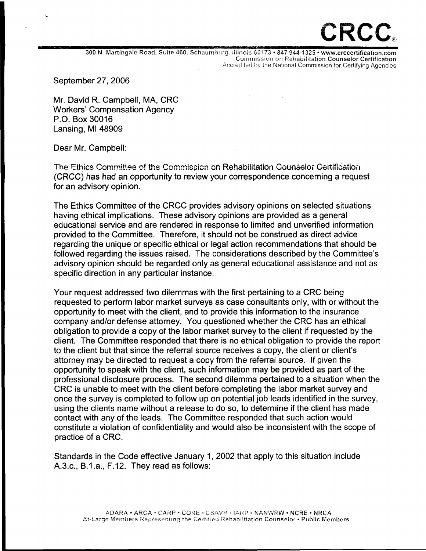## RCC

300 N. Martingale Road, Suite 460. Schaumburg, il!:nois 60173 • 847-944-1325 • www.crccertification.com Commission on Rehabilitation Counselor Certification Accredited by the National Commission for Certifying Agencies

September 27, 2006

Mr. David R. Campbell, MA, CRC Workers' Compensation Agency P.O. Box 30016 Lansing, Ml48909

Dear Mr. Campbell:

The Ethics Committee of the Commission on Rehabilitation Counselor Certification (CRCC) has had an opportunity to review your correspondence concerning a request for an advisory opinion.

The Ethics Committee of the CRCC provides advisory opinions on selected situations having ethical implications. These advisory opinions are provided as a general educational service and are rendered in response to limited and unverified information provided to the Committee. Therefore, it should not be construed as direct advice regarding the unique or specific ethical or legal action recommendations that should be followed regarding the issues raised. The considerations described by the Committee's advisory opinion should be regarded only as general educational assistance and not as specific direction in any particular instance.

Your request addressed two dilemmas with the first pertaining to a CRC being requested to perform labor market surveys as case consultants only, with or without the opportunity to meet with the client, and to provide this information to the insurance company and/or defense attorney. You questioned whether the CRC has an ethical obligation to provide a copy of the labor market survey to the client if requested by the client. The Committee responded that there is no ethical obligation to provide the report to the client but that since the referral source receives a copy, the client or client's attorney may be directed to request a copy from the referral source. If given the opportunity to speak with the client, such information may be provided as part of the professional disclosure process. The second dilemma pertained to a situation when the CRC is unable to meet with the client before completing the labor market survey and once the survey is completed to follow up on potential job leads identified in the survey, using the clients name without a release to do so, to determine if the client has made contact with any of the leads. The Committee responded that such action would constitute a violation of confidentiality and would also be inconsistent with the scope of practice of a CRC.

Standards in the Code effective January 1, 2002 that apply to this situation include A.3.c., B.1.a., F.12. They read as follows: